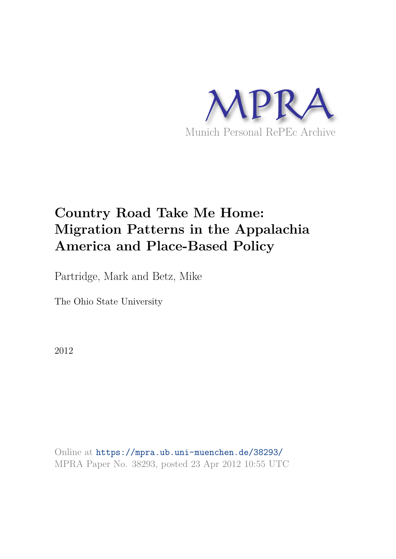

# **Country Road Take Me Home: Migration Patterns in the Appalachia America and Place-Based Policy**

Partridge, Mark and Betz, Mike

The Ohio State University

2012

Online at https://mpra.ub.uni-muenchen.de/38293/ MPRA Paper No. 38293, posted 23 Apr 2012 10:55 UTC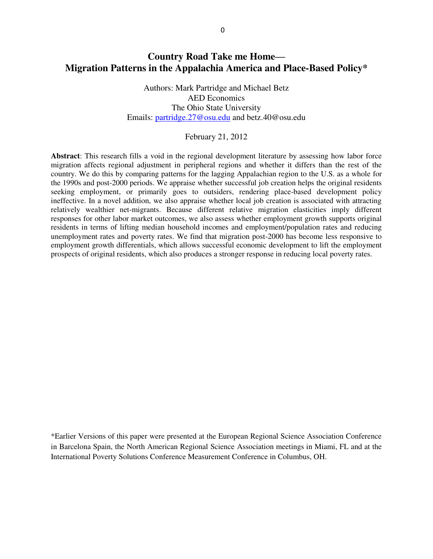# **Country Road Take me Home— Migration Patterns in the Appalachia America and Place-Based Policy\***

Authors: Mark Partridge and Michael Betz AED Economics The Ohio State University Emails: [partridge.27@osu.edu](mailto:partridge.27@osu.edu) and betz.40@osu.edu

### February 21, 2012

**Abstract**: This research fills a void in the regional development literature by assessing how labor force migration affects regional adjustment in peripheral regions and whether it differs than the rest of the country. We do this by comparing patterns for the lagging Appalachian region to the U.S. as a whole for the 1990s and post-2000 periods. We appraise whether successful job creation helps the original residents seeking employment, or primarily goes to outsiders, rendering place-based development policy ineffective. In a novel addition, we also appraise whether local job creation is associated with attracting relatively wealthier net-migrants. Because different relative migration elasticities imply different responses for other labor market outcomes, we also assess whether employment growth supports original residents in terms of lifting median household incomes and employment/population rates and reducing unemployment rates and poverty rates. We find that migration post-2000 has become less responsive to employment growth differentials, which allows successful economic development to lift the employment prospects of original residents, which also produces a stronger response in reducing local poverty rates.

\*Earlier Versions of this paper were presented at the European Regional Science Association Conference in Barcelona Spain, the North American Regional Science Association meetings in Miami, FL and at the International Poverty Solutions Conference Measurement Conference in Columbus, OH.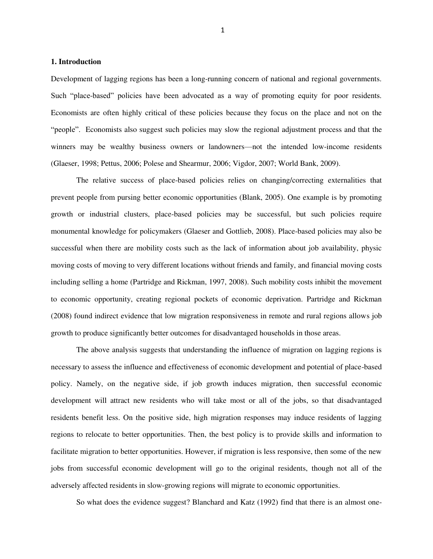## **1. Introduction**

Development of lagging regions has been a long-running concern of national and regional governments. Such "place-based" policies have been advocated as a way of promoting equity for poor residents. Economists are often highly critical of these policies because they focus on the place and not on the ―people‖. Economists also suggest such policies may slow the regional adjustment process and that the winners may be wealthy business owners or landowners—not the intended low-income residents (Glaeser, 1998; Pettus, 2006; Polese and Shearmur, 2006; Vigdor, 2007; World Bank, 2009).

The relative success of place-based policies relies on changing/correcting externalities that prevent people from pursing better economic opportunities (Blank, 2005). One example is by promoting growth or industrial clusters, place-based policies may be successful, but such policies require monumental knowledge for policymakers (Glaeser and Gottlieb, 2008). Place-based policies may also be successful when there are mobility costs such as the lack of information about job availability, physic moving costs of moving to very different locations without friends and family, and financial moving costs including selling a home (Partridge and Rickman, 1997, 2008). Such mobility costs inhibit the movement to economic opportunity, creating regional pockets of economic deprivation. Partridge and Rickman (2008) found indirect evidence that low migration responsiveness in remote and rural regions allows job growth to produce significantly better outcomes for disadvantaged households in those areas.

The above analysis suggests that understanding the influence of migration on lagging regions is necessary to assess the influence and effectiveness of economic development and potential of place-based policy. Namely, on the negative side, if job growth induces migration, then successful economic development will attract new residents who will take most or all of the jobs, so that disadvantaged residents benefit less. On the positive side, high migration responses may induce residents of lagging regions to relocate to better opportunities. Then, the best policy is to provide skills and information to facilitate migration to better opportunities. However, if migration is less responsive, then some of the new jobs from successful economic development will go to the original residents, though not all of the adversely affected residents in slow-growing regions will migrate to economic opportunities.

So what does the evidence suggest? Blanchard and Katz (1992) find that there is an almost one-

1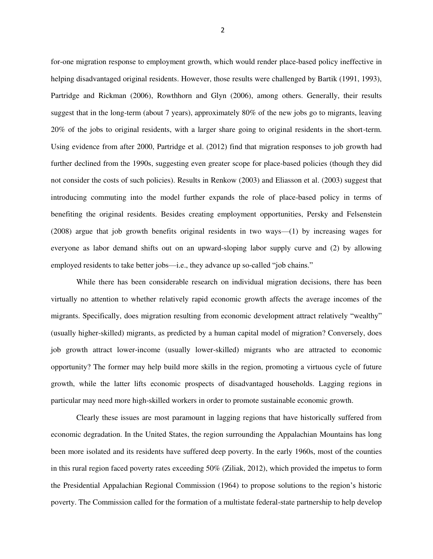for-one migration response to employment growth, which would render place-based policy ineffective in helping disadvantaged original residents. However, those results were challenged by Bartik (1991, 1993), Partridge and Rickman (2006), Rowthhorn and Glyn (2006), among others. Generally, their results suggest that in the long-term (about 7 years), approximately 80% of the new jobs go to migrants, leaving 20% of the jobs to original residents, with a larger share going to original residents in the short-term. Using evidence from after 2000, Partridge et al. (2012) find that migration responses to job growth had further declined from the 1990s, suggesting even greater scope for place-based policies (though they did not consider the costs of such policies). Results in Renkow (2003) and Eliasson et al. (2003) suggest that introducing commuting into the model further expands the role of place-based policy in terms of benefiting the original residents. Besides creating employment opportunities, Persky and Felsenstein (2008) argue that job growth benefits original residents in two ways—(1) by increasing wages for everyone as labor demand shifts out on an upward-sloping labor supply curve and (2) by allowing employed residents to take better jobs-i.e., they advance up so-called "job chains."

While there has been considerable research on individual migration decisions, there has been virtually no attention to whether relatively rapid economic growth affects the average incomes of the migrants. Specifically, does migration resulting from economic development attract relatively "wealthy" (usually higher-skilled) migrants, as predicted by a human capital model of migration? Conversely, does job growth attract lower-income (usually lower-skilled) migrants who are attracted to economic opportunity? The former may help build more skills in the region, promoting a virtuous cycle of future growth, while the latter lifts economic prospects of disadvantaged households. Lagging regions in particular may need more high-skilled workers in order to promote sustainable economic growth.

Clearly these issues are most paramount in lagging regions that have historically suffered from economic degradation. In the United States, the region surrounding the Appalachian Mountains has long been more isolated and its residents have suffered deep poverty. In the early 1960s, most of the counties in this rural region faced poverty rates exceeding 50% (Ziliak, 2012), which provided the impetus to form the Presidential Appalachian Regional Commission (1964) to propose solutions to the region's historic poverty. The Commission called for the formation of a multistate federal-state partnership to help develop

2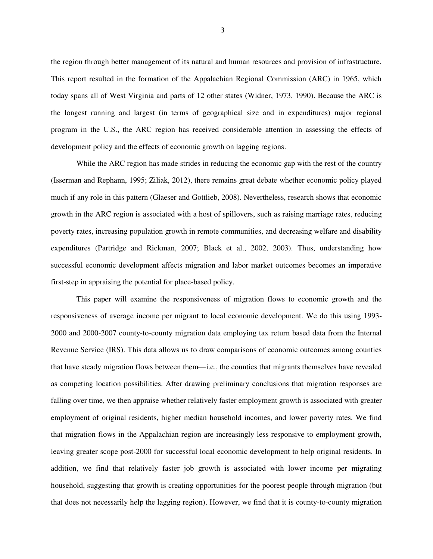the region through better management of its natural and human resources and provision of infrastructure. This report resulted in the formation of the Appalachian Regional Commission (ARC) in 1965, which today spans all of West Virginia and parts of 12 other states (Widner, 1973, 1990). Because the ARC is the longest running and largest (in terms of geographical size and in expenditures) major regional program in the U.S., the ARC region has received considerable attention in assessing the effects of development policy and the effects of economic growth on lagging regions.

While the ARC region has made strides in reducing the economic gap with the rest of the country (Isserman and Rephann, 1995; Ziliak, 2012), there remains great debate whether economic policy played much if any role in this pattern (Glaeser and Gottlieb, 2008). Nevertheless, research shows that economic growth in the ARC region is associated with a host of spillovers, such as raising marriage rates, reducing poverty rates, increasing population growth in remote communities, and decreasing welfare and disability expenditures (Partridge and Rickman, 2007; Black et al., 2002, 2003). Thus, understanding how successful economic development affects migration and labor market outcomes becomes an imperative first-step in appraising the potential for place-based policy.

This paper will examine the responsiveness of migration flows to economic growth and the responsiveness of average income per migrant to local economic development. We do this using 1993- 2000 and 2000-2007 county-to-county migration data employing tax return based data from the Internal Revenue Service (IRS). This data allows us to draw comparisons of economic outcomes among counties that have steady migration flows between them—i.e., the counties that migrants themselves have revealed as competing location possibilities. After drawing preliminary conclusions that migration responses are falling over time, we then appraise whether relatively faster employment growth is associated with greater employment of original residents, higher median household incomes, and lower poverty rates. We find that migration flows in the Appalachian region are increasingly less responsive to employment growth, leaving greater scope post-2000 for successful local economic development to help original residents. In addition, we find that relatively faster job growth is associated with lower income per migrating household, suggesting that growth is creating opportunities for the poorest people through migration (but that does not necessarily help the lagging region). However, we find that it is county-to-county migration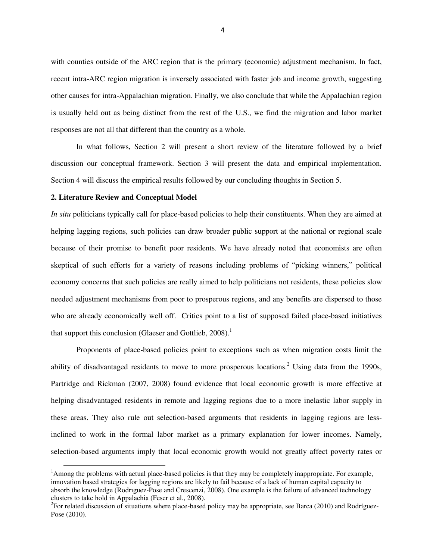with counties outside of the ARC region that is the primary (economic) adjustment mechanism. In fact, recent intra-ARC region migration is inversely associated with faster job and income growth, suggesting other causes for intra-Appalachian migration. Finally, we also conclude that while the Appalachian region is usually held out as being distinct from the rest of the U.S., we find the migration and labor market responses are not all that different than the country as a whole.

In what follows, Section 2 will present a short review of the literature followed by a brief discussion our conceptual framework. Section 3 will present the data and empirical implementation. Section 4 will discuss the empirical results followed by our concluding thoughts in Section 5.

#### **2. Literature Review and Conceptual Model**

l

*In situ* politicians typically call for place-based policies to help their constituents. When they are aimed at helping lagging regions, such policies can draw broader public support at the national or regional scale because of their promise to benefit poor residents. We have already noted that economists are often skeptical of such efforts for a variety of reasons including problems of "picking winners," political economy concerns that such policies are really aimed to help politicians not residents, these policies slow needed adjustment mechanisms from poor to prosperous regions, and any benefits are dispersed to those who are already economically well off. Critics point to a list of supposed failed place-based initiatives that support this conclusion (Glaeser and Gottlieb,  $2008$ ).<sup>1</sup>

Proponents of place-based policies point to exceptions such as when migration costs limit the ability of disadvantaged residents to move to more prosperous locations.<sup>2</sup> Using data from the 1990s, Partridge and Rickman (2007, 2008) found evidence that local economic growth is more effective at helping disadvantaged residents in remote and lagging regions due to a more inelastic labor supply in these areas. They also rule out selection-based arguments that residents in lagging regions are lessinclined to work in the formal labor market as a primary explanation for lower incomes. Namely, selection-based arguments imply that local economic growth would not greatly affect poverty rates or

<sup>&</sup>lt;sup>1</sup>Among the problems with actual place-based policies is that they may be completely inappropriate. For example, innovation based strategies for lagging regions are likely to fail because of a lack of human capital capacity to absorb the knowledge (Rodrıguez-Pose and Crescenzi, 2008). One example is the failure of advanced technology clusters to take hold in Appalachia (Feser et al., 2008).

 ${}^{2}$ For related discussion of situations where place-based policy may be appropriate, see Barca (2010) and Rodríguez-Pose (2010).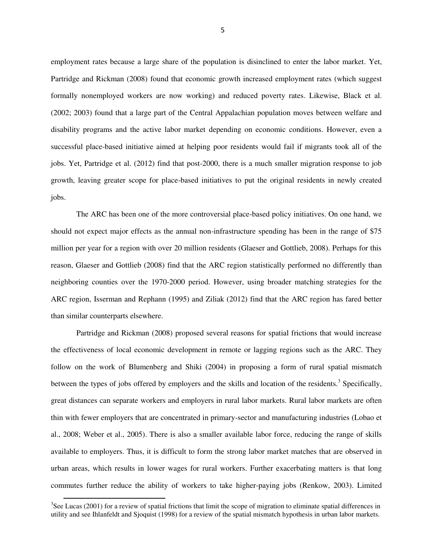employment rates because a large share of the population is disinclined to enter the labor market. Yet, Partridge and Rickman (2008) found that economic growth increased employment rates (which suggest formally nonemployed workers are now working) and reduced poverty rates. Likewise, Black et al. (2002; 2003) found that a large part of the Central Appalachian population moves between welfare and disability programs and the active labor market depending on economic conditions. However, even a successful place-based initiative aimed at helping poor residents would fail if migrants took all of the jobs. Yet, Partridge et al. (2012) find that post-2000, there is a much smaller migration response to job growth, leaving greater scope for place-based initiatives to put the original residents in newly created jobs.

The ARC has been one of the more controversial place-based policy initiatives. On one hand, we should not expect major effects as the annual non-infrastructure spending has been in the range of \$75 million per year for a region with over 20 million residents (Glaeser and Gottlieb, 2008). Perhaps for this reason, Glaeser and Gottlieb (2008) find that the ARC region statistically performed no differently than neighboring counties over the 1970-2000 period. However, using broader matching strategies for the ARC region, Isserman and Rephann (1995) and Ziliak (2012) find that the ARC region has fared better than similar counterparts elsewhere.

Partridge and Rickman (2008) proposed several reasons for spatial frictions that would increase the effectiveness of local economic development in remote or lagging regions such as the ARC. They follow on the work of Blumenberg and Shiki (2004) in proposing a form of rural spatial mismatch between the types of jobs offered by employers and the skills and location of the residents.<sup>3</sup> Specifically, great distances can separate workers and employers in rural labor markets. Rural labor markets are often thin with fewer employers that are concentrated in primary-sector and manufacturing industries (Lobao et al., 2008; Weber et al., 2005). There is also a smaller available labor force, reducing the range of skills available to employers. Thus, it is difficult to form the strong labor market matches that are observed in urban areas, which results in lower wages for rural workers. Further exacerbating matters is that long commutes further reduce the ability of workers to take higher-paying jobs (Renkow, 2003). Limited

 $\overline{a}$ 

5

 $3$ See Lucas (2001) for a review of spatial frictions that limit the scope of migration to eliminate spatial differences in utility and see Ihlanfeldt and Sjoquist (1998) for a review of the spatial mismatch hypothesis in urban labor markets.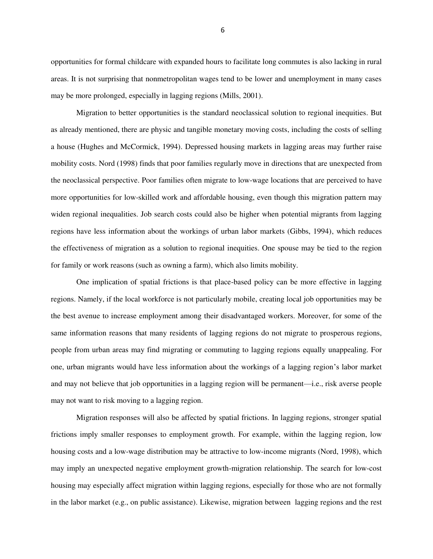opportunities for formal childcare with expanded hours to facilitate long commutes is also lacking in rural areas. It is not surprising that nonmetropolitan wages tend to be lower and unemployment in many cases may be more prolonged, especially in lagging regions (Mills, 2001).

Migration to better opportunities is the standard neoclassical solution to regional inequities. But as already mentioned, there are physic and tangible monetary moving costs, including the costs of selling a house (Hughes and McCormick, 1994). Depressed housing markets in lagging areas may further raise mobility costs. Nord (1998) finds that poor families regularly move in directions that are unexpected from the neoclassical perspective. Poor families often migrate to low-wage locations that are perceived to have more opportunities for low-skilled work and affordable housing, even though this migration pattern may widen regional inequalities. Job search costs could also be higher when potential migrants from lagging regions have less information about the workings of urban labor markets (Gibbs, 1994), which reduces the effectiveness of migration as a solution to regional inequities. One spouse may be tied to the region for family or work reasons (such as owning a farm), which also limits mobility.

One implication of spatial frictions is that place-based policy can be more effective in lagging regions. Namely, if the local workforce is not particularly mobile, creating local job opportunities may be the best avenue to increase employment among their disadvantaged workers. Moreover, for some of the same information reasons that many residents of lagging regions do not migrate to prosperous regions, people from urban areas may find migrating or commuting to lagging regions equally unappealing. For one, urban migrants would have less information about the workings of a lagging region's labor market and may not believe that job opportunities in a lagging region will be permanent—i.e., risk averse people may not want to risk moving to a lagging region.

Migration responses will also be affected by spatial frictions. In lagging regions, stronger spatial frictions imply smaller responses to employment growth. For example, within the lagging region, low housing costs and a low-wage distribution may be attractive to low-income migrants (Nord, 1998), which may imply an unexpected negative employment growth-migration relationship. The search for low-cost housing may especially affect migration within lagging regions, especially for those who are not formally in the labor market (e.g., on public assistance). Likewise, migration between lagging regions and the rest

6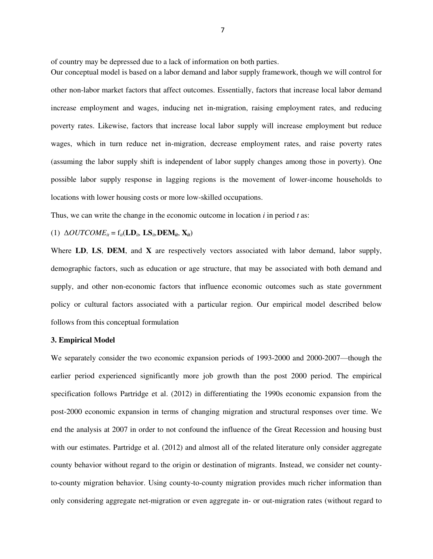of country may be depressed due to a lack of information on both parties.

Our conceptual model is based on a labor demand and labor supply framework, though we will control for other non-labor market factors that affect outcomes. Essentially, factors that increase local labor demand increase employment and wages, inducing net in-migration, raising employment rates, and reducing poverty rates. Likewise, factors that increase local labor supply will increase employment but reduce wages, which in turn reduce net in-migration, decrease employment rates, and raise poverty rates (assuming the labor supply shift is independent of labor supply changes among those in poverty). One possible labor supply response in lagging regions is the movement of lower-income households to locations with lower housing costs or more low-skilled occupations.

Thus, we can write the change in the economic outcome in location *i* in period *t* as:

### (1)  $\Delta OUTCOME_{it} = f_{it}(\mathbf{LD}_{it}, \mathbf{LS}_{it}, \mathbf{DEM}_{it}, \mathbf{X}_{it})$

Where **LD**, **LS**, **DEM**, and **X** are respectively vectors associated with labor demand, labor supply, demographic factors, such as education or age structure, that may be associated with both demand and supply, and other non-economic factors that influence economic outcomes such as state government policy or cultural factors associated with a particular region. Our empirical model described below follows from this conceptual formulation

#### **3. Empirical Model**

We separately consider the two economic expansion periods of 1993-2000 and 2000-2007—though the earlier period experienced significantly more job growth than the post 2000 period. The empirical specification follows Partridge et al. (2012) in differentiating the 1990s economic expansion from the post-2000 economic expansion in terms of changing migration and structural responses over time. We end the analysis at 2007 in order to not confound the influence of the Great Recession and housing bust with our estimates. Partridge et al. (2012) and almost all of the related literature only consider aggregate county behavior without regard to the origin or destination of migrants. Instead, we consider net countyto-county migration behavior. Using county-to-county migration provides much richer information than only considering aggregate net-migration or even aggregate in- or out-migration rates (without regard to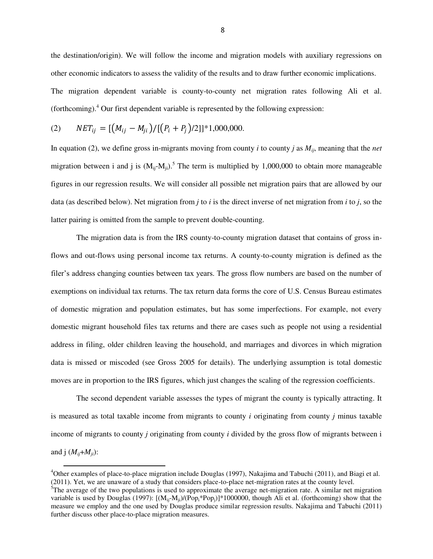the destination/origin). We will follow the income and migration models with auxiliary regressions on other economic indicators to assess the validity of the results and to draw further economic implications. The migration dependent variable is county-to-county net migration rates following Ali et al. (forthcoming).<sup>4</sup> Our first dependent variable is represented by the following expression:

(2) 
$$
NET_{ij} = \left[ \left( M_{ij} - M_{ji} \right) / \left[ \left( P_i + P_j \right) / 2 \right] \right] * 1,000,000.
$$

l

In equation (2), we define gross in-migrants moving from county *i* to county *j* as  $M_{ii}$ , meaning that the *net* migration between i and j is  $(M_{ij} - M_{ji})$ .<sup>5</sup> The term is multiplied by 1,000,000 to obtain more manageable figures in our regression results. We will consider all possible net migration pairs that are allowed by our data (as described below). Net migration from *j* to *i* is the direct inverse of net migration from *i* to *j*, so the latter pairing is omitted from the sample to prevent double-counting.

The migration data is from the IRS county-to-county migration dataset that contains of gross inflows and out-flows using personal income tax returns. A county-to-county migration is defined as the filer's address changing counties between tax years. The gross flow numbers are based on the number of exemptions on individual tax returns. The tax return data forms the core of U.S. Census Bureau estimates of domestic migration and population estimates, but has some imperfections. For example, not every domestic migrant household files tax returns and there are cases such as people not using a residential address in filing, older children leaving the household, and marriages and divorces in which migration data is missed or miscoded (see Gross 2005 for details). The underlying assumption is total domestic moves are in proportion to the IRS figures, which just changes the scaling of the regression coefficients.

The second dependent variable assesses the types of migrant the county is typically attracting. It is measured as total taxable income from migrants to county *i* originating from county *j* minus taxable income of migrants to county *j* originating from county *i* divided by the gross flow of migrants between i and j  $(M_{ij}+M_{ji})$ :

 $4$ Other examples of place-to-place migration include Douglas (1997), Nakajima and Tabuchi (2011), and Biagi et al. (2011). Yet, we are unaware of a study that considers place-to-place net-migration rates at the county level.

 $5$ The average of the two populations is used to approximate the average net-migration rate. A similar net migration variable is used by Douglas (1997):  $[(M_{ij} - M_{ij})/(Pop_i*Pop_i)]*1000000$ , though Ali et al. (forthcoming) show that the measure we employ and the one used by Douglas produce similar regression results. Nakajima and Tabuchi (2011) further discuss other place-to-place migration measures.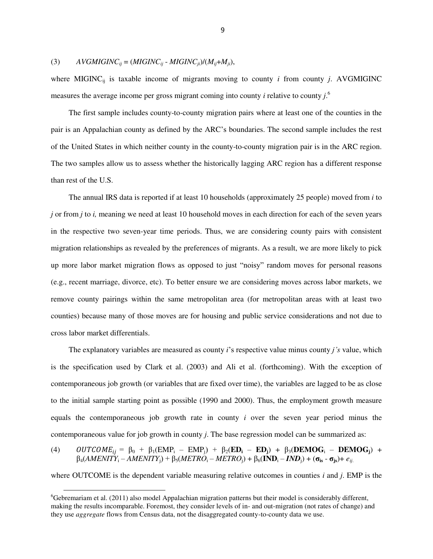## (3)  $AVGMIGINC<sub>ij</sub> = (MIGINC<sub>ij</sub> - MIGINC<sub>ji</sub>)/(M<sub>ij</sub>+M<sub>ij</sub>),$

where MIGINC $_{ij}$  is taxable income of migrants moving to county *i* from county *j*. AVGMIGINC measures the average income per gross migrant coming into county *i* relative to county *j*. 6

The first sample includes county-to-county migration pairs where at least one of the counties in the pair is an Appalachian county as defined by the ARC's boundaries. The second sample includes the rest of the United States in which neither county in the county-to-county migration pair is in the ARC region. The two samples allow us to assess whether the historically lagging ARC region has a different response than rest of the U.S.

The annual IRS data is reported if at least 10 households (approximately 25 people) moved from *i* to *j* or from *j* to *i,* meaning we need at least 10 household moves in each direction for each of the seven years in the respective two seven-year time periods. Thus, we are considering county pairs with consistent migration relationships as revealed by the preferences of migrants. As a result, we are more likely to pick up more labor market migration flows as opposed to just "noisy" random moves for personal reasons (e.g., recent marriage, divorce, etc). To better ensure we are considering moves across labor markets, we remove county pairings within the same metropolitan area (for metropolitan areas with at least two counties) because many of those moves are for housing and public service considerations and not due to cross labor market differentials.

The explanatory variables are measured as county *i*'s respective value minus county *j's* value, which is the specification used by Clark et al. (2003) and Ali et al. (forthcoming). With the exception of contemporaneous job growth (or variables that are fixed over time), the variables are lagged to be as close to the initial sample starting point as possible (1990 and 2000). Thus, the employment growth measure equals the contemporaneous job growth rate in county *i* over the seven year period minus the contemporaneous value for job growth in county *j*. The base regression model can be summarized as:

(4) 
$$
OUTCOME_{ij} = \beta_0 + \beta_1(\text{EMP}_i - \text{EMP}_j) + \beta_2(\text{ED}_i - \text{ED}_j) + \beta_3(\text{DEMOG}_i - \text{DEMOG}_j) + \beta_4(AMENITY_i - AMENITY_j) + \beta_5(METRO_i - METRO_j) + \beta_6(\text{IND}_i - IND_j) + (\sigma_{is} - \sigma_{js}) + e_{ij}.
$$

where OUTCOME is the dependent variable measuring relative outcomes in counties *i* and *j*. EMP is the

l

 $6$ Gebremariam et al. (2011) also model Appalachian migration patterns but their model is considerably different, making the results incomparable. Foremost, they consider levels of in- and out-migration (not rates of change) and they use *aggregate* flows from Census data, not the disaggregated county-to-county data we use.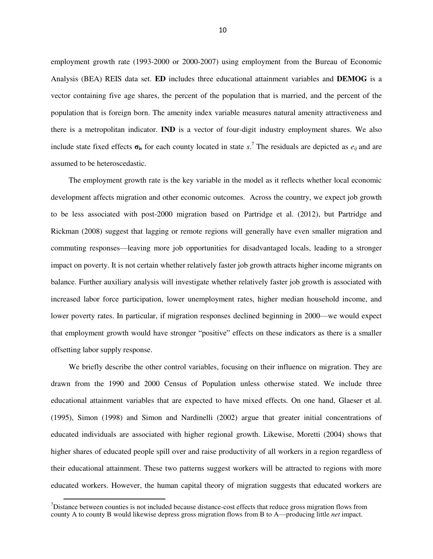employment growth rate (1993-2000 or 2000-2007) using employment from the Bureau of Economic Analysis (BEA) REIS data set. **ED** includes three educational attainment variables and **DEMOG** is a vector containing five age shares, the percent of the population that is married, and the percent of the population that is foreign born. The amenity index variable measures natural amenity attractiveness and there is a metropolitan indicator. **IND** is a vector of four-digit industry employment shares. We also include state fixed effects  $\sigma_{is}$  for each county located in state *s*.<sup>7</sup> The residuals are depicted as  $e_{ij}$  and are assumed to be heteroscedastic*.* 

The employment growth rate is the key variable in the model as it reflects whether local economic development affects migration and other economic outcomes. Across the country, we expect job growth to be less associated with post-2000 migration based on Partridge et al. (2012), but Partridge and Rickman (2008) suggest that lagging or remote regions will generally have even smaller migration and commuting responses—leaving more job opportunities for disadvantaged locals, leading to a stronger impact on poverty. It is not certain whether relatively faster job growth attracts higher income migrants on balance. Further auxiliary analysis will investigate whether relatively faster job growth is associated with increased labor force participation, lower unemployment rates, higher median household income, and lower poverty rates. In particular, if migration responses declined beginning in 2000—we would expect that employment growth would have stronger "positive" effects on these indicators as there is a smaller offsetting labor supply response.

We briefly describe the other control variables, focusing on their influence on migration. They are drawn from the 1990 and 2000 Census of Population unless otherwise stated. We include three educational attainment variables that are expected to have mixed effects. On one hand, Glaeser et al. (1995), Simon (1998) and Simon and Nardinelli (2002) argue that greater initial concentrations of educated individuals are associated with higher regional growth. Likewise, Moretti (2004) shows that higher shares of educated people spill over and raise productivity of all workers in a region regardless of their educational attainment. These two patterns suggest workers will be attracted to regions with more educated workers. However, the human capital theory of migration suggests that educated workers are

 $\overline{a}$ 

<sup>7</sup>Distance between counties is not included because distance-cost effects that reduce gross migration flows from county A to county B would likewise depress gross migration flows from B to A—producing little *net* impact.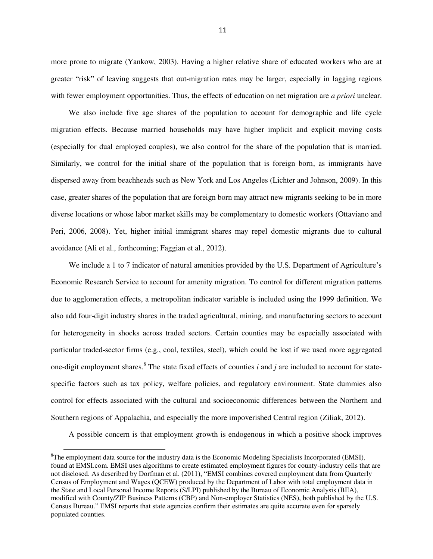more prone to migrate (Yankow, 2003). Having a higher relative share of educated workers who are at greater "risk" of leaving suggests that out-migration rates may be larger, especially in lagging regions with fewer employment opportunities. Thus, the effects of education on net migration are *a priori* unclear.

We also include five age shares of the population to account for demographic and life cycle migration effects. Because married households may have higher implicit and explicit moving costs (especially for dual employed couples), we also control for the share of the population that is married. Similarly, we control for the initial share of the population that is foreign born, as immigrants have dispersed away from beachheads such as New York and Los Angeles (Lichter and Johnson, 2009). In this case, greater shares of the population that are foreign born may attract new migrants seeking to be in more diverse locations or whose labor market skills may be complementary to domestic workers (Ottaviano and Peri, 2006, 2008). Yet, higher initial immigrant shares may repel domestic migrants due to cultural avoidance (Ali et al., forthcoming; Faggian et al., 2012).

We include a 1 to 7 indicator of natural amenities provided by the U.S. Department of Agriculture's Economic Research Service to account for amenity migration. To control for different migration patterns due to agglomeration effects, a metropolitan indicator variable is included using the 1999 definition. We also add four-digit industry shares in the traded agricultural, mining, and manufacturing sectors to account for heterogeneity in shocks across traded sectors. Certain counties may be especially associated with particular traded-sector firms (e.g., coal, textiles, steel), which could be lost if we used more aggregated one-digit employment shares.<sup>8</sup> The state fixed effects of counties *i* and *j* are included to account for statespecific factors such as tax policy, welfare policies, and regulatory environment. State dummies also control for effects associated with the cultural and socioeconomic differences between the Northern and Southern regions of Appalachia, and especially the more impoverished Central region (Ziliak, 2012).

A possible concern is that employment growth is endogenous in which a positive shock improves

 $\overline{a}$ 

<sup>&</sup>lt;sup>8</sup>The employment data source for the industry data is the Economic Modeling Specialists Incorporated (EMSI), found at EMSI.com. EMSI uses algorithms to create estimated employment figures for county-industry cells that are not disclosed. As described by Dorfman et al. (2011), "EMSI combines covered employment data from Quarterly Census of Employment and Wages (QCEW) produced by the Department of Labor with total employment data in the State and Local Personal Income Reports (S/LPI) published by the Bureau of Economic Analysis (BEA), modified with County/ZIP Business Patterns (CBP) and Non-employer Statistics (NES), both published by the U.S. Census Bureau.‖ EMSI reports that state agencies confirm their estimates are quite accurate even for sparsely populated counties.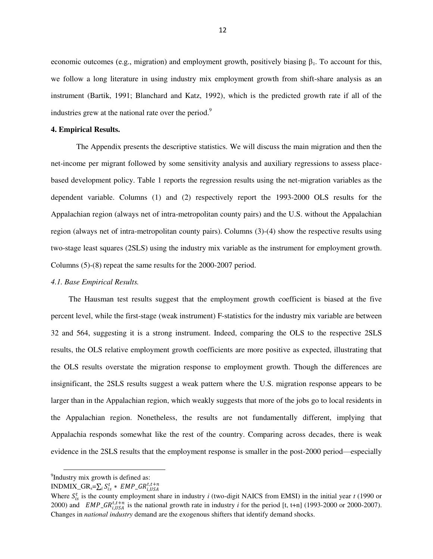economic outcomes (e.g., migration) and employment growth, positively biasing  $\beta_1$ . To account for this, we follow a long literature in using industry mix employment growth from shift-share analysis as an instrument (Bartik, 1991; Blanchard and Katz, 1992), which is the predicted growth rate if all of the industries grew at the national rate over the period.<sup>9</sup>

#### **4. Empirical Results.**

The Appendix presents the descriptive statistics. We will discuss the main migration and then the net-income per migrant followed by some sensitivity analysis and auxiliary regressions to assess placebased development policy. Table 1 reports the regression results using the net-migration variables as the dependent variable. Columns (1) and (2) respectively report the 1993-2000 OLS results for the Appalachian region (always net of intra-metropolitan county pairs) and the U.S. without the Appalachian region (always net of intra-metropolitan county pairs). Columns (3)-(4) show the respective results using two-stage least squares (2SLS) using the industry mix variable as the instrument for employment growth. Columns (5)-(8) repeat the same results for the 2000-2007 period.

#### *4.1. Base Empirical Results.*

The Hausman test results suggest that the employment growth coefficient is biased at the five percent level, while the first-stage (weak instrument) F-statistics for the industry mix variable are between 32 and 564, suggesting it is a strong instrument. Indeed, comparing the OLS to the respective 2SLS results, the OLS relative employment growth coefficients are more positive as expected, illustrating that the OLS results overstate the migration response to employment growth. Though the differences are insignificant, the 2SLS results suggest a weak pattern where the U.S. migration response appears to be larger than in the Appalachian region, which weakly suggests that more of the jobs go to local residents in the Appalachian region. Nonetheless, the results are not fundamentally different, implying that Appalachia responds somewhat like the rest of the country. Comparing across decades, there is weak evidence in the 2SLS results that the employment response is smaller in the post-2000 period—especially

l

<sup>&</sup>lt;sup>9</sup>Industry mix growth is defined as:

INDMIX\_GR<sub>s</sub>= $\sum_i S_{is}^t * \, EMP\_GR_{i,USA}^{t, t+n}$ 

Where  $S_{is}^t$  is the county employment share in industry *i* (two-digit NAICS from EMSI) in the initial year *t* (1990 or 2000) and  $EMP_{\_}GR_{i,USA}^{t,t+n}$  is the national growth rate in industry *i* for the period [t, t+n] (1993-2000 or 2000-2007). Changes in *national industry* demand are the exogenous shifters that identify demand shocks.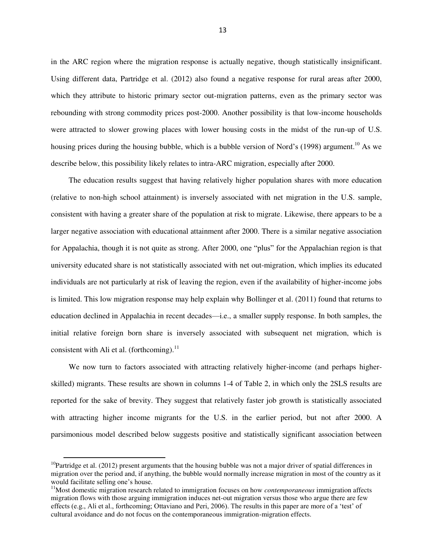in the ARC region where the migration response is actually negative, though statistically insignificant. Using different data, Partridge et al. (2012) also found a negative response for rural areas after 2000, which they attribute to historic primary sector out-migration patterns, even as the primary sector was rebounding with strong commodity prices post-2000. Another possibility is that low-income households were attracted to slower growing places with lower housing costs in the midst of the run-up of U.S. housing prices during the housing bubble, which is a bubble version of Nord's (1998) argument.<sup>10</sup> As we describe below, this possibility likely relates to intra-ARC migration, especially after 2000.

The education results suggest that having relatively higher population shares with more education (relative to non-high school attainment) is inversely associated with net migration in the U.S. sample, consistent with having a greater share of the population at risk to migrate. Likewise, there appears to be a larger negative association with educational attainment after 2000. There is a similar negative association for Appalachia, though it is not quite as strong. After 2000, one "plus" for the Appalachian region is that university educated share is not statistically associated with net out-migration, which implies its educated individuals are not particularly at risk of leaving the region, even if the availability of higher-income jobs is limited. This low migration response may help explain why Bollinger et al. (2011) found that returns to education declined in Appalachia in recent decades—i.e., a smaller supply response. In both samples, the initial relative foreign born share is inversely associated with subsequent net migration, which is consistent with Ali et al. (forthcoming).<sup>11</sup>

We now turn to factors associated with attracting relatively higher-income (and perhaps higherskilled) migrants. These results are shown in columns 1-4 of Table 2, in which only the 2SLS results are reported for the sake of brevity. They suggest that relatively faster job growth is statistically associated with attracting higher income migrants for the U.S. in the earlier period, but not after 2000. A parsimonious model described below suggests positive and statistically significant association between

 $\overline{a}$ 

<sup>&</sup>lt;sup>10</sup>Partridge et al. (2012) present arguments that the housing bubble was not a major driver of spatial differences in migration over the period and, if anything, the bubble would normally increase migration in most of the country as it would facilitate selling one's house.

<sup>&</sup>lt;sup>11</sup>Most domestic migration research related to immigration focuses on how *contemporaneous* immigration affects migration flows with those arguing immigration induces net-out migration versus those who argue there are few effects (e.g., Ali et al., forthcoming; Ottaviano and Peri, 2006). The results in this paper are more of a 'test' of cultural avoidance and do not focus on the contemporaneous immigration-migration effects.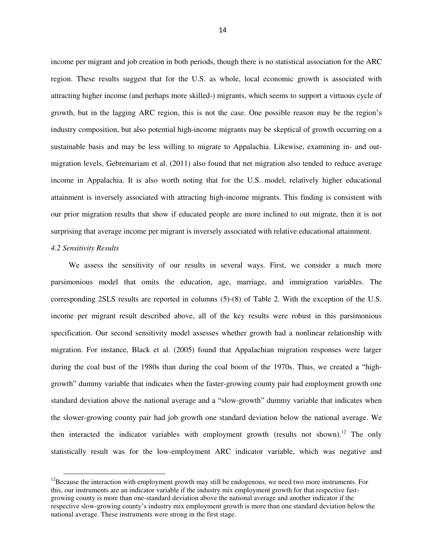income per migrant and job creation in both periods, though there is no statistical association for the ARC region. These results suggest that for the U.S. as whole, local economic growth is associated with attracting higher income (and perhaps more skilled-) migrants, which seems to support a virtuous cycle of growth, but in the lagging ARC region, this is not the case. One possible reason may be the region's industry composition, but also potential high-income migrants may be skeptical of growth occurring on a sustainable basis and may be less willing to migrate to Appalachia. Likewise, examining in- and outmigration levels, Gebremariam et al. (2011) also found that net migration also tended to reduce average income in Appalachia. It is also worth noting that for the U.S. model, relatively higher educational attainment is inversely associated with attracting high-income migrants. This finding is consistent with our prior migration results that show if educated people are more inclined to out migrate, then it is not surprising that average income per migrant is inversely associated with relative educational attainment.

# *4.2 Sensitivity Results*

l

We assess the sensitivity of our results in several ways. First, we consider a much more parsimonious model that omits the education, age, marriage, and immigration variables. The corresponding 2SLS results are reported in columns (5)-(8) of Table 2. With the exception of the U.S. income per migrant result described above, all of the key results were robust in this parsimonious specification. Our second sensitivity model assesses whether growth had a nonlinear relationship with migration. For instance, Black et al. (2005) found that Appalachian migration responses were larger during the coal bust of the 1980s than during the coal boom of the 1970s. Thus, we created a "highgrowth" dummy variable that indicates when the faster-growing county pair had employment growth one standard deviation above the national average and a "slow-growth" dummy variable that indicates when the slower-growing county pair had job growth one standard deviation below the national average. We then interacted the indicator variables with employment growth (results not shown).<sup>12</sup> The only statistically result was for the low-employment ARC indicator variable, which was negative and

 $12$ Because the interaction with employment growth may still be endogenous, we need two more instruments. For this, our instruments are an indicator variable if the industry mix employment growth for that respective fastgrowing county is more than one-standard deviation above the national average and another indicator if the respective slow-growing county's industry mix employment growth is more than one standard deviation below the national average. These instruments were strong in the first stage.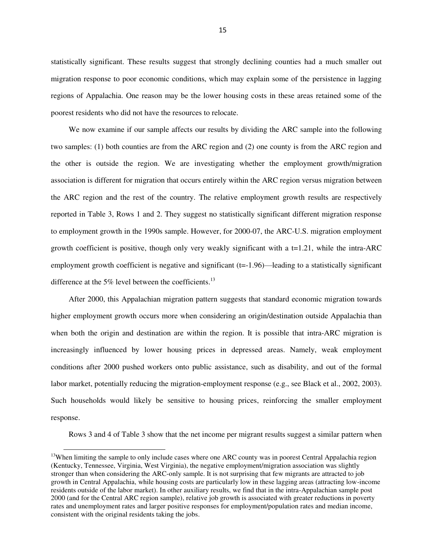statistically significant. These results suggest that strongly declining counties had a much smaller out migration response to poor economic conditions, which may explain some of the persistence in lagging regions of Appalachia. One reason may be the lower housing costs in these areas retained some of the poorest residents who did not have the resources to relocate.

We now examine if our sample affects our results by dividing the ARC sample into the following two samples: (1) both counties are from the ARC region and (2) one county is from the ARC region and the other is outside the region. We are investigating whether the employment growth/migration association is different for migration that occurs entirely within the ARC region versus migration between the ARC region and the rest of the country. The relative employment growth results are respectively reported in Table 3, Rows 1 and 2. They suggest no statistically significant different migration response to employment growth in the 1990s sample. However, for 2000-07, the ARC-U.S. migration employment growth coefficient is positive, though only very weakly significant with a t=1.21, while the intra-ARC employment growth coefficient is negative and significant (t=-1.96)—leading to a statistically significant difference at the 5% level between the coefficients.<sup>13</sup>

After 2000, this Appalachian migration pattern suggests that standard economic migration towards higher employment growth occurs more when considering an origin/destination outside Appalachia than when both the origin and destination are within the region. It is possible that intra-ARC migration is increasingly influenced by lower housing prices in depressed areas. Namely, weak employment conditions after 2000 pushed workers onto public assistance, such as disability, and out of the formal labor market, potentially reducing the migration-employment response (e.g., see Black et al., 2002, 2003). Such households would likely be sensitive to housing prices, reinforcing the smaller employment response.

Rows 3 and 4 of Table 3 show that the net income per migrant results suggest a similar pattern when

 $\overline{a}$ 

<sup>&</sup>lt;sup>13</sup>When limiting the sample to only include cases where one ARC county was in poorest Central Appalachia region (Kentucky, Tennessee, Virginia, West Virginia), the negative employment/migration association was slightly stronger than when considering the ARC-only sample. It is not surprising that few migrants are attracted to job growth in Central Appalachia, while housing costs are particularly low in these lagging areas (attracting low-income residents outside of the labor market). In other auxiliary results, we find that in the intra-Appalachian sample post 2000 (and for the Central ARC region sample), relative job growth is associated with greater reductions in poverty rates and unemployment rates and larger positive responses for employment/population rates and median income, consistent with the original residents taking the jobs.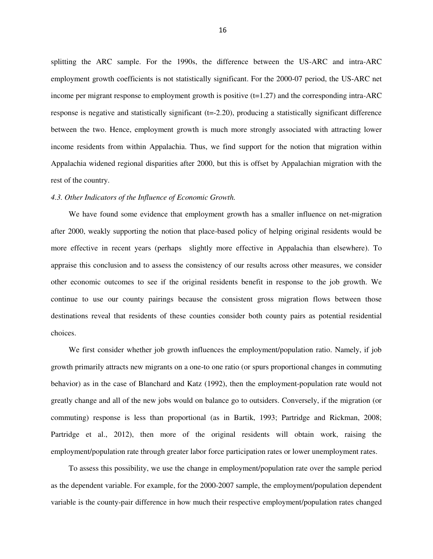splitting the ARC sample. For the 1990s, the difference between the US-ARC and intra-ARC employment growth coefficients is not statistically significant. For the 2000-07 period, the US-ARC net income per migrant response to employment growth is positive  $(t=1.27)$  and the corresponding intra-ARC response is negative and statistically significant (t=-2.20), producing a statistically significant difference between the two. Hence, employment growth is much more strongly associated with attracting lower income residents from within Appalachia. Thus, we find support for the notion that migration within Appalachia widened regional disparities after 2000, but this is offset by Appalachian migration with the rest of the country.

#### *4.3. Other Indicators of the Influence of Economic Growth.*

We have found some evidence that employment growth has a smaller influence on net-migration after 2000, weakly supporting the notion that place-based policy of helping original residents would be more effective in recent years (perhaps slightly more effective in Appalachia than elsewhere). To appraise this conclusion and to assess the consistency of our results across other measures, we consider other economic outcomes to see if the original residents benefit in response to the job growth. We continue to use our county pairings because the consistent gross migration flows between those destinations reveal that residents of these counties consider both county pairs as potential residential choices.

We first consider whether job growth influences the employment/population ratio. Namely, if job growth primarily attracts new migrants on a one-to one ratio (or spurs proportional changes in commuting behavior) as in the case of Blanchard and Katz (1992), then the employment-population rate would not greatly change and all of the new jobs would on balance go to outsiders. Conversely, if the migration (or commuting) response is less than proportional (as in Bartik, 1993; Partridge and Rickman, 2008; Partridge et al., 2012), then more of the original residents will obtain work, raising the employment/population rate through greater labor force participation rates or lower unemployment rates.

To assess this possibility, we use the change in employment/population rate over the sample period as the dependent variable. For example, for the 2000-2007 sample, the employment/population dependent variable is the county-pair difference in how much their respective employment/population rates changed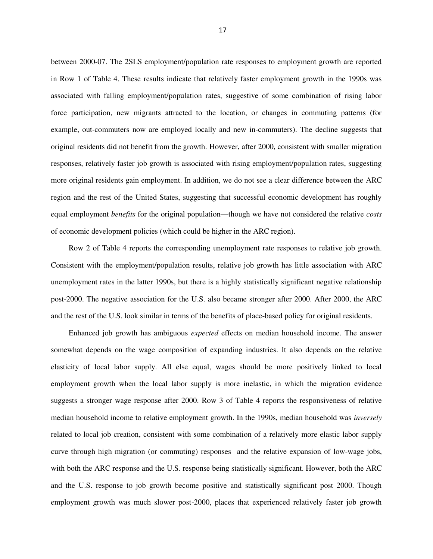between 2000-07. The 2SLS employment/population rate responses to employment growth are reported in Row 1 of Table 4. These results indicate that relatively faster employment growth in the 1990s was associated with falling employment/population rates, suggestive of some combination of rising labor force participation, new migrants attracted to the location, or changes in commuting patterns (for example, out-commuters now are employed locally and new in-commuters). The decline suggests that original residents did not benefit from the growth. However, after 2000, consistent with smaller migration responses, relatively faster job growth is associated with rising employment/population rates, suggesting more original residents gain employment. In addition, we do not see a clear difference between the ARC region and the rest of the United States, suggesting that successful economic development has roughly equal employment *benefits* for the original population—though we have not considered the relative *costs*  of economic development policies (which could be higher in the ARC region).

Row 2 of Table 4 reports the corresponding unemployment rate responses to relative job growth. Consistent with the employment/population results, relative job growth has little association with ARC unemployment rates in the latter 1990s, but there is a highly statistically significant negative relationship post-2000. The negative association for the U.S. also became stronger after 2000. After 2000, the ARC and the rest of the U.S. look similar in terms of the benefits of place-based policy for original residents.

Enhanced job growth has ambiguous *expected* effects on median household income. The answer somewhat depends on the wage composition of expanding industries. It also depends on the relative elasticity of local labor supply. All else equal, wages should be more positively linked to local employment growth when the local labor supply is more inelastic, in which the migration evidence suggests a stronger wage response after 2000. Row 3 of Table 4 reports the responsiveness of relative median household income to relative employment growth. In the 1990s, median household was *inversely*  related to local job creation, consistent with some combination of a relatively more elastic labor supply curve through high migration (or commuting) responses and the relative expansion of low-wage jobs, with both the ARC response and the U.S. response being statistically significant. However, both the ARC and the U.S. response to job growth become positive and statistically significant post 2000. Though employment growth was much slower post-2000, places that experienced relatively faster job growth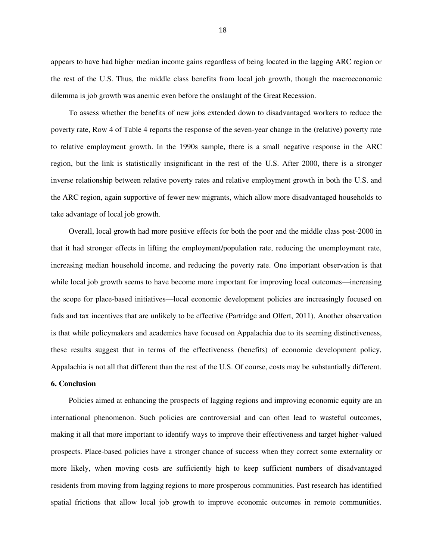appears to have had higher median income gains regardless of being located in the lagging ARC region or the rest of the U.S. Thus, the middle class benefits from local job growth, though the macroeconomic dilemma is job growth was anemic even before the onslaught of the Great Recession.

To assess whether the benefits of new jobs extended down to disadvantaged workers to reduce the poverty rate, Row 4 of Table 4 reports the response of the seven-year change in the (relative) poverty rate to relative employment growth. In the 1990s sample, there is a small negative response in the ARC region, but the link is statistically insignificant in the rest of the U.S. After 2000, there is a stronger inverse relationship between relative poverty rates and relative employment growth in both the U.S. and the ARC region, again supportive of fewer new migrants, which allow more disadvantaged households to take advantage of local job growth.

Overall, local growth had more positive effects for both the poor and the middle class post-2000 in that it had stronger effects in lifting the employment/population rate, reducing the unemployment rate, increasing median household income, and reducing the poverty rate. One important observation is that while local job growth seems to have become more important for improving local outcomes—increasing the scope for place-based initiatives—local economic development policies are increasingly focused on fads and tax incentives that are unlikely to be effective (Partridge and Olfert, 2011). Another observation is that while policymakers and academics have focused on Appalachia due to its seeming distinctiveness, these results suggest that in terms of the effectiveness (benefits) of economic development policy, Appalachia is not all that different than the rest of the U.S. Of course, costs may be substantially different.

## **6. Conclusion**

Policies aimed at enhancing the prospects of lagging regions and improving economic equity are an international phenomenon. Such policies are controversial and can often lead to wasteful outcomes, making it all that more important to identify ways to improve their effectiveness and target higher-valued prospects. Place-based policies have a stronger chance of success when they correct some externality or more likely, when moving costs are sufficiently high to keep sufficient numbers of disadvantaged residents from moving from lagging regions to more prosperous communities. Past research has identified spatial frictions that allow local job growth to improve economic outcomes in remote communities.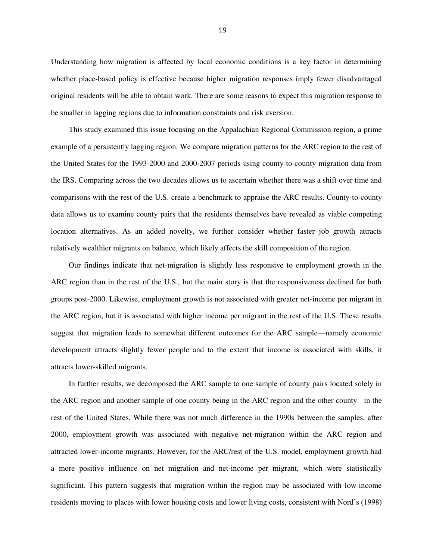Understanding how migration is affected by local economic conditions is a key factor in determining whether place-based policy is effective because higher migration responses imply fewer disadvantaged original residents will be able to obtain work. There are some reasons to expect this migration response to be smaller in lagging regions due to information constraints and risk aversion.

This study examined this issue focusing on the Appalachian Regional Commission region, a prime example of a persistently lagging region. We compare migration patterns for the ARC region to the rest of the United States for the 1993-2000 and 2000-2007 periods using county-to-county migration data from the IRS. Comparing across the two decades allows us to ascertain whether there was a shift over time and comparisons with the rest of the U.S. create a benchmark to appraise the ARC results. County-to-county data allows us to examine county pairs that the residents themselves have revealed as viable competing location alternatives. As an added novelty, we further consider whether faster job growth attracts relatively wealthier migrants on balance, which likely affects the skill composition of the region.

Our findings indicate that net-migration is slightly less responsive to employment growth in the ARC region than in the rest of the U.S., but the main story is that the responsiveness declined for both groups post-2000. Likewise, employment growth is not associated with greater net-income per migrant in the ARC region, but it is associated with higher income per migrant in the rest of the U.S. These results suggest that migration leads to somewhat different outcomes for the ARC sample—namely economic development attracts slightly fewer people and to the extent that income is associated with skills, it attracts lower-skilled migrants.

In further results, we decomposed the ARC sample to one sample of county pairs located solely in the ARC region and another sample of one county being in the ARC region and the other county in the rest of the United States. While there was not much difference in the 1990s between the samples, after 2000, employment growth was associated with negative net-migration within the ARC region and attracted lower-income migrants. However, for the ARC/rest of the U.S. model, employment growth had a more positive influence on net migration and net-income per migrant, which were statistically significant. This pattern suggests that migration within the region may be associated with low-income residents moving to places with lower housing costs and lower living costs, consistent with Nord's (1998)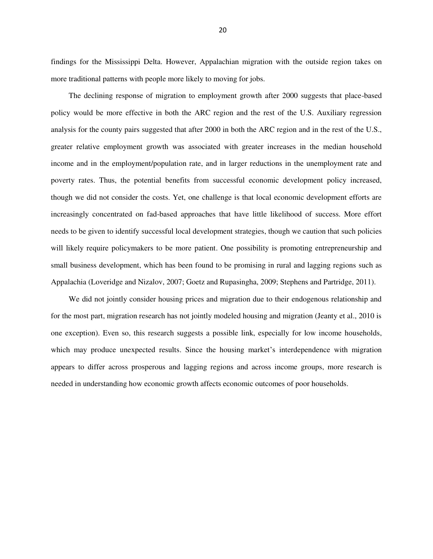findings for the Mississippi Delta. However, Appalachian migration with the outside region takes on more traditional patterns with people more likely to moving for jobs.

The declining response of migration to employment growth after 2000 suggests that place-based policy would be more effective in both the ARC region and the rest of the U.S. Auxiliary regression analysis for the county pairs suggested that after 2000 in both the ARC region and in the rest of the U.S., greater relative employment growth was associated with greater increases in the median household income and in the employment/population rate, and in larger reductions in the unemployment rate and poverty rates. Thus, the potential benefits from successful economic development policy increased, though we did not consider the costs. Yet, one challenge is that local economic development efforts are increasingly concentrated on fad-based approaches that have little likelihood of success. More effort needs to be given to identify successful local development strategies, though we caution that such policies will likely require policymakers to be more patient. One possibility is promoting entrepreneurship and small business development, which has been found to be promising in rural and lagging regions such as Appalachia (Loveridge and Nizalov, 2007; Goetz and Rupasingha, 2009; Stephens and Partridge, 2011).

We did not jointly consider housing prices and migration due to their endogenous relationship and for the most part, migration research has not jointly modeled housing and migration (Jeanty et al., 2010 is one exception). Even so, this research suggests a possible link, especially for low income households, which may produce unexpected results. Since the housing market's interdependence with migration appears to differ across prosperous and lagging regions and across income groups, more research is needed in understanding how economic growth affects economic outcomes of poor households.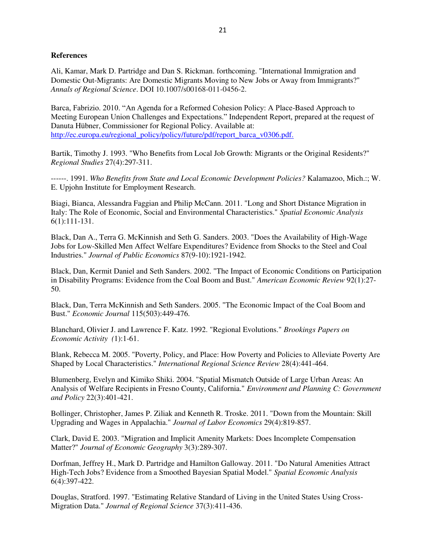#### **References**

Ali, Kamar, Mark D. Partridge and Dan S. Rickman. forthcoming. "International Immigration and Domestic Out-Migrants: Are Domestic Migrants Moving to New Jobs or Away from Immigrants?" *Annals of Regional Science*. DOI 10.1007/s00168-011-0456-2.

Barca, Fabrizio. 2010. "An Agenda for a Reformed Cohesion Policy: A Place-Based Approach to Meeting European Union Challenges and Expectations." Independent Report, prepared at the request of Danuta Hübner, Commissioner for Regional Policy. Available at: [http://ec.europa.eu/regional\\_policy/policy/future/pdf/report\\_barca\\_v0306.pdf.](http://ec.europa.eu/regional_policy/policy/future/pdf/report_barca_v0306.pdf.)

Bartik, Timothy J. 1993. "Who Benefits from Local Job Growth: Migrants or the Original Residents?" *Regional Studies* 27(4):297-311.

------. 1991. *Who Benefits from State and Local Economic Development Policies?* Kalamazoo, Mich.:; W. E. Upjohn Institute for Employment Research.

Biagi, Bianca, Alessandra Faggian and Philip McCann. 2011. "Long and Short Distance Migration in Italy: The Role of Economic, Social and Environmental Characteristics." *Spatial Economic Analysis* 6(1):111-131.

Black, Dan A., Terra G. McKinnish and Seth G. Sanders. 2003. "Does the Availability of High-Wage Jobs for Low-Skilled Men Affect Welfare Expenditures? Evidence from Shocks to the Steel and Coal Industries." *Journal of Public Economics* 87(9-10):1921-1942.

Black, Dan, Kermit Daniel and Seth Sanders. 2002. "The Impact of Economic Conditions on Participation in Disability Programs: Evidence from the Coal Boom and Bust." *American Economic Review* 92(1):27- 50.

Black, Dan, Terra McKinnish and Seth Sanders. 2005. "The Economic Impact of the Coal Boom and Bust." *Economic Journal* 115(503):449-476.

Blanchard, Olivier J. and Lawrence F. Katz. 1992. "Regional Evolutions." *Brookings Papers on Economic Activity (*1):1-61.

Blank, Rebecca M. 2005. "Poverty, Policy, and Place: How Poverty and Policies to Alleviate Poverty Are Shaped by Local Characteristics." *International Regional Science Review* 28(4):441-464.

Blumenberg, Evelyn and Kimiko Shiki. 2004. "Spatial Mismatch Outside of Large Urban Areas: An Analysis of Welfare Recipients in Fresno County, California." *Environment and Planning C: Government and Policy* 22(3):401-421.

Bollinger, Christopher, James P. Ziliak and Kenneth R. Troske. 2011. "Down from the Mountain: Skill Upgrading and Wages in Appalachia." *Journal of Labor Economics* 29(4):819-857.

Clark, David E. 2003. "Migration and Implicit Amenity Markets: Does Incomplete Compensation Matter?" *Journal of Economic Geography* 3(3):289-307.

Dorfman, Jeffrey H., Mark D. Partridge and Hamilton Galloway. 2011. "Do Natural Amenities Attract High-Tech Jobs? Evidence from a Smoothed Bayesian Spatial Model." *Spatial Economic Analysis* 6(4):397-422.

Douglas, Stratford. 1997. "Estimating Relative Standard of Living in the United States Using Cross-Migration Data." *Journal of Regional Science* 37(3):411-436.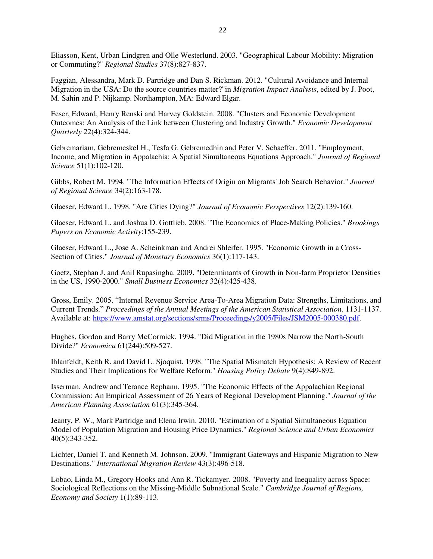Eliasson, Kent, Urban Lindgren and Olle Westerlund. 2003. "Geographical Labour Mobility: Migration or Commuting?" *Regional Studies* 37(8):827-837.

Faggian, Alessandra, Mark D. Partridge and Dan S. Rickman. 2012. "Cultural Avoidance and Internal Migration in the USA: Do the source countries matter?"in *Migration Impact Analysis*, edited by J. Poot, M. Sahin and P. Nijkamp. Northampton, MA: Edward Elgar.

Feser, Edward, Henry Renski and Harvey Goldstein. 2008. "Clusters and Economic Development Outcomes: An Analysis of the Link between Clustering and Industry Growth." *Economic Development Quarterly* 22(4):324-344.

Gebremariam, Gebremeskel H., Tesfa G. Gebremedhin and Peter V. Schaeffer. 2011. "Employment, Income, and Migration in Appalachia: A Spatial Simultaneous Equations Approach." *Journal of Regional Science* 51(1):102-120.

Gibbs, Robert M. 1994. "The Information Effects of Origin on Migrants' Job Search Behavior." *Journal of Regional Science* 34(2):163-178.

Glaeser, Edward L. 1998. "Are Cities Dying?" *Journal of Economic Perspectives* 12(2):139-160.

Glaeser, Edward L. and Joshua D. Gottlieb. 2008. "The Economics of Place-Making Policies." *Brookings Papers on Economic Activity*:155-239.

Glaeser, Edward L., Jose A. Scheinkman and Andrei Shleifer. 1995. "Economic Growth in a Cross-Section of Cities." *Journal of Monetary Economics* 36(1):117-143.

Goetz, Stephan J. and Anil Rupasingha. 2009. "Determinants of Growth in Non-farm Proprietor Densities in the US, 1990-2000." *Small Business Economics* 32(4):425-438.

Gross, Emily. 2005. "Internal Revenue Service Area-To-Area Migration Data: Strengths, Limitations, and Current Trends.‖ *Proceedings of the Annual Meetings of the American Statistical Association*. 1131-1137. Available at: [https://www.amstat.org/sections/srms/Proceedings/y2005/Files/JSM2005-000380.pdf.](https://www.amstat.org/sections/srms/Proceedings/y2005/Files/JSM2005-000380.pdf)

Hughes, Gordon and Barry McCormick. 1994. "Did Migration in the 1980s Narrow the North-South Divide?" *Economica* 61(244):509-527.

Ihlanfeldt, Keith R. and David L. Sjoquist. 1998. "The Spatial Mismatch Hypothesis: A Review of Recent Studies and Their Implications for Welfare Reform." *Housing Policy Debate* 9(4):849-892.

Isserman, Andrew and Terance Rephann. 1995. "The Economic Effects of the Appalachian Regional Commission: An Empirical Assessment of 26 Years of Regional Development Planning." *Journal of the American Planning Association* 61(3):345-364.

Jeanty, P. W., Mark Partridge and Elena Irwin. 2010. "Estimation of a Spatial Simultaneous Equation Model of Population Migration and Housing Price Dynamics." *Regional Science and Urban Economics* 40(5):343-352.

Lichter, Daniel T. and Kenneth M. Johnson. 2009. "Immigrant Gateways and Hispanic Migration to New Destinations." *International Migration Review* 43(3):496-518.

Lobao, Linda M., Gregory Hooks and Ann R. Tickamyer. 2008. "Poverty and Inequality across Space: Sociological Reflections on the Missing-Middle Subnational Scale." *Cambridge Journal of Regions, Economy and Society* 1(1):89-113.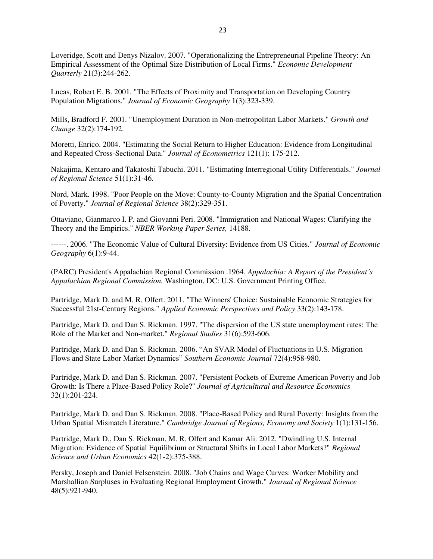Loveridge, Scott and Denys Nizalov. 2007. "Operationalizing the Entrepreneurial Pipeline Theory: An Empirical Assessment of the Optimal Size Distribution of Local Firms." *Economic Development Quarterly* 21(3):244-262.

Lucas, Robert E. B. 2001. "The Effects of Proximity and Transportation on Developing Country Population Migrations." *Journal of Economic Geography* 1(3):323-339.

Mills, Bradford F. 2001. "Unemployment Duration in Non-metropolitan Labor Markets." *Growth and Change* 32(2):174-192.

Moretti, Enrico. 2004. "Estimating the Social Return to Higher Education: Evidence from Longitudinal and Repeated Cross-Sectional Data." *Journal of Econometrics* 121(1): 175-212.

Nakajima, Kentaro and Takatoshi Tabuchi. 2011. "Estimating Interregional Utility Differentials." *Journal of Regional Science* 51(1):31-46.

Nord, Mark. 1998. "Poor People on the Move: County-to-County Migration and the Spatial Concentration of Poverty." *Journal of Regional Science* 38(2):329-351.

Ottaviano, Gianmarco I. P. and Giovanni Peri. 2008. "Immigration and National Wages: Clarifying the Theory and the Empirics." *NBER Working Paper Series,* 14188.

------. 2006. "The Economic Value of Cultural Diversity: Evidence from US Cities." *Journal of Economic Geography* 6(1):9-44.

(PARC) President's Appalachian Regional Commission .1964. *Appalachia: A Report of the President's Appalachian Regional Commission.* Washington, DC: U.S. Government Printing Office.

Partridge, Mark D. and M. R. Olfert. 2011. "The Winners' Choice: Sustainable Economic Strategies for Successful 21st-Century Regions." *Applied Economic Perspectives and Policy* 33(2):143-178.

Partridge, Mark D. and Dan S. Rickman. 1997. "The dispersion of the US state unemployment rates: The Role of the Market and Non-market." *Regional Studies* 31(6):593-606.

Partridge, Mark D. and Dan S. Rickman. 2006. "An SVAR Model of Fluctuations in U.S. Migration Flows and State Labor Market Dynamics" Southern Economic Journal 72(4):958-980.

Partridge, Mark D. and Dan S. Rickman. 2007. "Persistent Pockets of Extreme American Poverty and Job Growth: Is There a Place-Based Policy Role?" *Journal of Agricultural and Resource Economics* 32(1):201-224.

Partridge, Mark D. and Dan S. Rickman. 2008. "Place-Based Policy and Rural Poverty: Insights from the Urban Spatial Mismatch Literature." *Cambridge Journal of Regions, Economy and Society* 1(1):131-156.

Partridge, Mark D., Dan S. Rickman, M. R. Olfert and Kamar Ali. 2012. "Dwindling U.S. Internal Migration: Evidence of Spatial Equilibrium or Structural Shifts in Local Labor Markets?" *Regional Science and Urban Economics* 42(1-2):375-388.

Persky, Joseph and Daniel Felsenstein. 2008. "Job Chains and Wage Curves: Worker Mobility and Marshallian Surpluses in Evaluating Regional Employment Growth." *Journal of Regional Science* 48(5):921-940.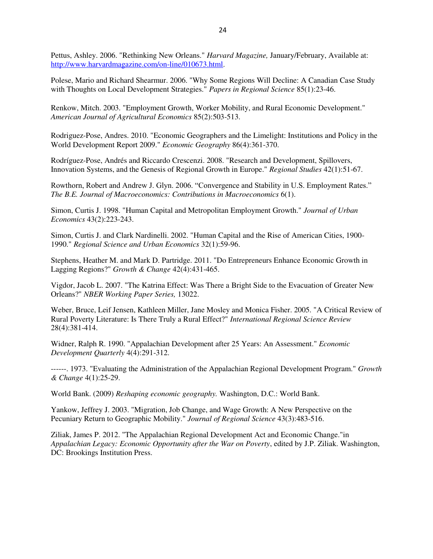Pettus, Ashley. 2006. "Rethinking New Orleans." *Harvard Magazine,* January/February, Available at: [http://www.harvardmagazine.com/on-line/010673.html.](http://www.harvardmagazine.com/on-line/010673.html)

Polese, Mario and Richard Shearmur. 2006. "Why Some Regions Will Decline: A Canadian Case Study with Thoughts on Local Development Strategies." *Papers in Regional Science* 85(1):23-46.

Renkow, Mitch. 2003. "Employment Growth, Worker Mobility, and Rural Economic Development." *American Journal of Agricultural Economics* 85(2):503-513.

Rodriguez-Pose, Andres. 2010. "Economic Geographers and the Limelight: Institutions and Policy in the World Development Report 2009." *Economic Geography* 86(4):361-370.

Rodríguez-Pose, Andrés and Riccardo Crescenzi. 2008. "Research and Development, Spillovers, Innovation Systems, and the Genesis of Regional Growth in Europe." *Regional Studies* 42(1):51-67.

Rowthorn, Robert and Andrew J. Glyn. 2006. "Convergence and Stability in U.S. Employment Rates." *The B.E. Journal of Macroeconomics: Contributions in Macroeconomics* 6(1).

Simon, Curtis J. 1998. "Human Capital and Metropolitan Employment Growth." *Journal of Urban Economics* 43(2):223-243.

Simon, Curtis J. and Clark Nardinelli. 2002. "Human Capital and the Rise of American Cities, 1900- 1990." *Regional Science and Urban Economics* 32(1):59-96.

Stephens, Heather M. and Mark D. Partridge. 2011. "Do Entrepreneurs Enhance Economic Growth in Lagging Regions?" *Growth & Change* 42(4):431-465.

Vigdor, Jacob L. 2007. "The Katrina Effect: Was There a Bright Side to the Evacuation of Greater New Orleans?" *NBER Working Paper Series,* 13022.

Weber, Bruce, Leif Jensen, Kathleen Miller, Jane Mosley and Monica Fisher. 2005. "A Critical Review of Rural Poverty Literature: Is There Truly a Rural Effect?" *International Regional Science Review* 28(4):381-414.

Widner, Ralph R. 1990. "Appalachian Development after 25 Years: An Assessment." *Economic Development Quarterly* 4(4):291-312.

------. 1973. "Evaluating the Administration of the Appalachian Regional Development Program." *Growth & Change* 4(1):25-29.

World Bank. (2009) *Reshaping economic geography.* Washington, D.C.: World Bank.

Yankow, Jeffrey J. 2003. "Migration, Job Change, and Wage Growth: A New Perspective on the Pecuniary Return to Geographic Mobility." *Journal of Regional Science* 43(3):483-516.

Ziliak, James P. 2012. "The Appalachian Regional Development Act and Economic Change."in *Appalachian Legacy: Economic Opportunity after the War on Poverty*, edited by J.P. Ziliak. Washington, DC: Brookings Institution Press.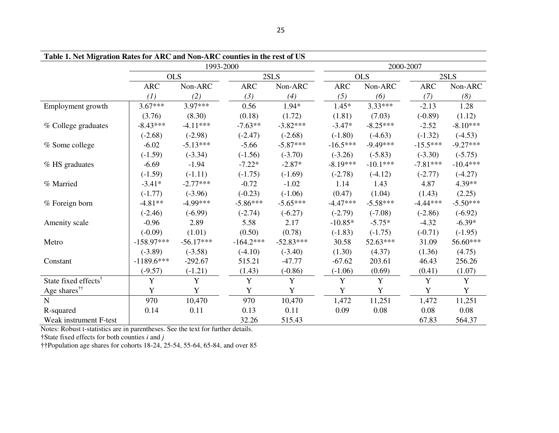| Table 1. Net Migration Rates for ARC and Non-ARC counties in the rest of US |              |             |             |             |  |            |            |            |             |
|-----------------------------------------------------------------------------|--------------|-------------|-------------|-------------|--|------------|------------|------------|-------------|
|                                                                             | 1993-2000    |             |             |             |  |            |            | 2000-2007  |             |
|                                                                             | <b>OLS</b>   |             |             | 2SLS        |  | <b>OLS</b> |            | 2SLS       |             |
|                                                                             | <b>ARC</b>   | Non-ARC     | <b>ARC</b>  | Non-ARC     |  | <b>ARC</b> | Non-ARC    | <b>ARC</b> | Non-ARC     |
|                                                                             | (1)          | (2)         | (3)         | (4)         |  | (5)        | (6)        | (7)        | (8)         |
| Employment growth                                                           | $3.67***$    | $3.97***$   | 0.56        | $1.94*$     |  | $1.45*$    | $3.33***$  | $-2.13$    | 1.28        |
|                                                                             | (3.76)       | (8.30)      | (0.18)      | (1.72)      |  | (1.81)     | (7.03)     | $(-0.89)$  | (1.12)      |
| % College graduates                                                         | $-8.43***$   | $-4.11***$  | $-7.63**$   | $-3.82***$  |  | $-3.47*$   | $-8.25***$ | $-2.52$    | $-8.10***$  |
|                                                                             | $(-2.68)$    | $(-2.98)$   | $(-2.47)$   | $(-2.68)$   |  | $(-1.80)$  | $(-4.63)$  | $(-1.32)$  | $(-4.53)$   |
| % Some college                                                              | $-6.02$      | $-5.13***$  | $-5.66$     | $-5.87***$  |  | $-16.5***$ | $-9.49***$ | $-15.5***$ | $-9.27***$  |
|                                                                             | $(-1.59)$    | $(-3.34)$   | $(-1.56)$   | $(-3.70)$   |  | $(-3.26)$  | $(-5.83)$  | $(-3.30)$  | $(-5.75)$   |
| % HS graduates                                                              | $-6.69$      | $-1.94$     | $-7.22*$    | $-2.87*$    |  | $-8.19***$ | $-10.1***$ | $-7.81***$ | $-10.4***$  |
|                                                                             | $(-1.59)$    | $(-1.11)$   | $(-1.75)$   | $(-1.69)$   |  | $(-2.78)$  | $(-4.12)$  | $(-2.77)$  | $(-4.27)$   |
| % Married                                                                   | $-3.41*$     | $-2.77***$  | $-0.72$     | $-1.02$     |  | 1.14       | 1.43       | 4.87       | 4.39**      |
|                                                                             | $(-1.77)$    | $(-3.96)$   | $(-0.23)$   | $(-1.06)$   |  | (0.47)     | (1.04)     | (1.43)     | (2.25)      |
| % Foreign born                                                              | $-4.81**$    | $-4.99***$  | $-5.86***$  | $-5.65***$  |  | $-4.47***$ | $-5.58***$ | $-4.44***$ | $-5.50***$  |
|                                                                             | $(-2.46)$    | $(-6.99)$   | $(-2.74)$   | $(-6.27)$   |  | $(-2.79)$  | $(-7.08)$  | $(-2.86)$  | $(-6.92)$   |
| Amenity scale                                                               | $-0.96$      | 2.89        | 5.58        | 2.17        |  | $-10.85*$  | $-5.75*$   | $-4.32$    | $-6.39*$    |
|                                                                             | $(-0.09)$    | (1.01)      | (0.50)      | (0.78)      |  | $(-1.83)$  | $(-1.75)$  | $(-0.71)$  | $(-1.95)$   |
| Metro                                                                       | $-158.97***$ | $-56.17***$ | $-164.2***$ | $-52.83***$ |  | 30.58      | 52.63***   | 31.09      | 56.60***    |
|                                                                             | $(-3.89)$    | $(-3.58)$   | $(-4.10)$   | $(-3.40)$   |  | (1.30)     | (4.37)     | (1.36)     | (4.75)      |
| Constant                                                                    | $-1189.6***$ | $-292.67$   | 515.21      | $-47.77$    |  | $-67.62$   | 203.61     | 46.43      | 256.26      |
|                                                                             | $(-9.57)$    | $(-1.21)$   | (1.43)      | $(-0.86)$   |  | $(-1.06)$  | (0.69)     | (0.41)     | (1.07)      |
| State fixed effects <sup>†</sup>                                            | Y            | Y           | Y           | Y           |  | Y          | Y          | Y          | Y           |
| Age shares <sup>††</sup>                                                    | Y            | Y           | Y           | Y           |  | Y          | Y          | Y          | $\mathbf Y$ |
| ${\bf N}$                                                                   | 970          | 10,470      | 970         | 10,470      |  | 1,472      | 11,251     | 1,472      | 11,251      |
| R-squared                                                                   | 0.14         | 0.11        | 0.13        | 0.11        |  | 0.09       | 0.08       | 0.08       | 0.08        |
| Weak instrument F-test                                                      |              |             | 32.26       | 515.43      |  |            |            | 67.83      | 564.37      |

Notes: Robust t-statistics are in parentheses. See the text for further details.

†State fixed effects for both counties *i* and *j* 

††Population age shares for cohorts 18-24, 25-54, 55-64, 65-84, and over 85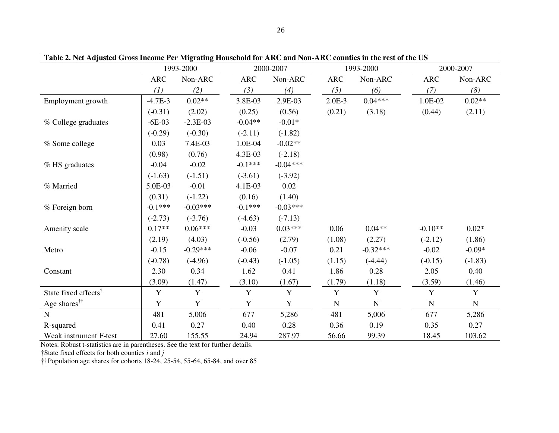| Table 2. Net Adjusted Gross Income Per Migrating Household for ARC and Non-ARC counties in the rest of the US |            |             |            |             |             |             |             |             |
|---------------------------------------------------------------------------------------------------------------|------------|-------------|------------|-------------|-------------|-------------|-------------|-------------|
|                                                                                                               | 1993-2000  |             |            | 2000-2007   |             | 1993-2000   | 2000-2007   |             |
|                                                                                                               | <b>ARC</b> | Non-ARC     | <b>ARC</b> | Non-ARC     | <b>ARC</b>  | Non-ARC     | <b>ARC</b>  | Non-ARC     |
|                                                                                                               | (1)        | (2)         | (3)        | (4)         | (5)         | (6)         | (7)         | (8)         |
| Employment growth                                                                                             | $-4.7E-3$  | $0.02**$    | 3.8E-03    | 2.9E-03     | $2.0E-3$    | $0.04***$   | 1.0E-02     | $0.02**$    |
|                                                                                                               | $(-0.31)$  | (2.02)      | (0.25)     | (0.56)      | (0.21)      | (3.18)      | (0.44)      | (2.11)      |
| % College graduates                                                                                           | $-6E-03$   | $-2.3E-03$  | $-0.04**$  | $-0.01*$    |             |             |             |             |
|                                                                                                               | $(-0.29)$  | $(-0.30)$   | $(-2.11)$  | $(-1.82)$   |             |             |             |             |
| % Some college                                                                                                | 0.03       | 7.4E-03     | 1.0E-04    | $-0.02**$   |             |             |             |             |
|                                                                                                               | (0.98)     | (0.76)      | 4.3E-03    | $(-2.18)$   |             |             |             |             |
| % HS graduates                                                                                                | $-0.04$    | $-0.02$     | $-0.1***$  | $-0.04***$  |             |             |             |             |
|                                                                                                               | $(-1.63)$  | $(-1.51)$   | $(-3.61)$  | $(-3.92)$   |             |             |             |             |
| % Married                                                                                                     | 5.0E-03    | $-0.01$     | 4.1E-03    | 0.02        |             |             |             |             |
|                                                                                                               | (0.31)     | $(-1.22)$   | (0.16)     | (1.40)      |             |             |             |             |
| % Foreign born                                                                                                | $-0.1***$  | $-0.03***$  | $-0.1***$  | $-0.03***$  |             |             |             |             |
|                                                                                                               | $(-2.73)$  | $(-3.76)$   | $(-4.63)$  | $(-7.13)$   |             |             |             |             |
| Amenity scale                                                                                                 | $0.17**$   | $0.06***$   | $-0.03$    | $0.03***$   | 0.06        | $0.04**$    | $-0.10**$   | $0.02*$     |
|                                                                                                               | (2.19)     | (4.03)      | $(-0.56)$  | (2.79)      | (1.08)      | (2.27)      | $(-2.12)$   | (1.86)      |
| Metro                                                                                                         | $-0.15$    | $-0.29***$  | $-0.06$    | $-0.07$     | 0.21        | $-0.32***$  | $-0.02$     | $-0.09*$    |
|                                                                                                               | $(-0.78)$  | $(-4.96)$   | $(-0.43)$  | $(-1.05)$   | (1.15)      | $(-4.44)$   | $(-0.15)$   | $(-1.83)$   |
| Constant                                                                                                      | 2.30       | 0.34        | 1.62       | 0.41        | 1.86        | 0.28        | 2.05        | 0.40        |
|                                                                                                               | (3.09)     | (1.47)      | (3.10)     | (1.67)      | (1.79)      | (1.18)      | (3.59)      | (1.46)      |
| State fixed effects <sup>†</sup>                                                                              | Y          | $\mathbf Y$ | Y          | $\mathbf Y$ | $\mathbf Y$ | $\mathbf Y$ | $\mathbf Y$ | $\mathbf Y$ |
| Age shares <sup>††</sup>                                                                                      | Y          | Y           | Y          | Y           | ${\bf N}$   | ${\bf N}$   | ${\bf N}$   | ${\bf N}$   |
| ${\bf N}$                                                                                                     | 481        | 5,006       | 677        | 5,286       | 481         | 5,006       | 677         | 5,286       |
| R-squared                                                                                                     | 0.41       | 0.27        | 0.40       | 0.28        | 0.36        | 0.19        | 0.35        | 0.27        |
| Weak instrument F-test                                                                                        | 27.60      | 155.55      | 24.94      | 287.97      | 56.66       | 99.39       | 18.45       | 103.62      |

Notes: Robust t-statistics are in parentheses. See the text for further details.

†State fixed effects for both counties *i* and *j* 

††Population age shares for cohorts 18-24, 25-54, 55-64, 65-84, and over 85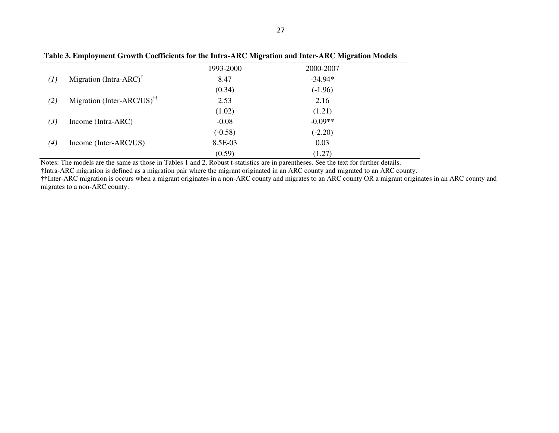| Table 3. Employment Growth Coefficients for the Intra-ARC Migration and Inter-ARC Migration Models |                                                                   |           |           |  |  |  |
|----------------------------------------------------------------------------------------------------|-------------------------------------------------------------------|-----------|-----------|--|--|--|
|                                                                                                    |                                                                   | 1993-2000 | 2000-2007 |  |  |  |
| $^{(1)}$                                                                                           | Migration (Intra-ARC) <sup><math>\dagger</math></sup>             | 8.47      | $-34.94*$ |  |  |  |
|                                                                                                    |                                                                   | (0.34)    | $(-1.96)$ |  |  |  |
| (2)                                                                                                | Migration (Inter-ARC/US) <sup><math>\uparrow\uparrow</math></sup> | 2.53      | 2.16      |  |  |  |
|                                                                                                    |                                                                   | (1.02)    | (1.21)    |  |  |  |
| (3)                                                                                                | Income (Intra-ARC)                                                | $-0.08$   | $-0.09**$ |  |  |  |
|                                                                                                    |                                                                   | $(-0.58)$ | $(-2.20)$ |  |  |  |
| $\scriptstyle{(4)}$                                                                                | Income (Inter-ARC/US)                                             | 8.5E-03   | 0.03      |  |  |  |
|                                                                                                    |                                                                   | (0.59)    | (1.27)    |  |  |  |

Notes: The models are the same as those in Tables 1 and 2. Robust t-statistics are in parentheses. See the text for further details.

†Intra-ARC migration is defined as a migration pair where the migrant originated in an ARC county and migrated to an ARC county.

††Inter-ARC migration is occurs when a migrant originates in a non-ARC county and migrates to an ARC county OR a migrant originates in an ARC county and migrates to a non-ARC county.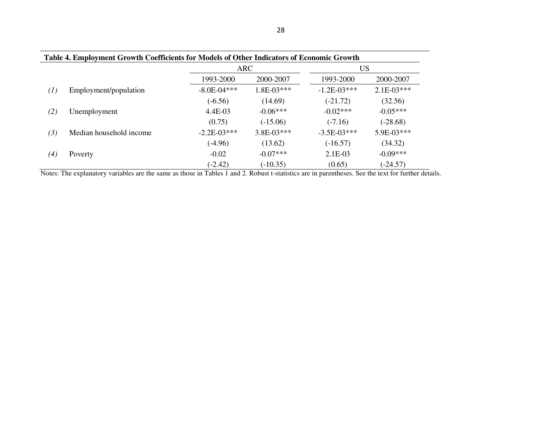| Table 4. Employment Growth Coefficients for Models of Other Indicators of Economic Growth |                         |                 |              |               |              |  |  |
|-------------------------------------------------------------------------------------------|-------------------------|-----------------|--------------|---------------|--------------|--|--|
|                                                                                           |                         | <b>ARC</b>      |              | US            |              |  |  |
|                                                                                           |                         | 1993-2000       | 2000-2007    | 1993-2000     | 2000-2007    |  |  |
| $\left( l\right)$                                                                         | Employment/population   | $-8.0E - 04***$ | $1.8E-03***$ | $-1.2E-03***$ | $2.1E-03***$ |  |  |
|                                                                                           |                         | $(-6.56)$       | (14.69)      | $(-21.72)$    | (32.56)      |  |  |
| (2)                                                                                       | Unemployment            | 4.4E-03         | $-0.06***$   | $-0.02***$    | $-0.05***$   |  |  |
|                                                                                           |                         | (0.75)          | $(-15.06)$   | $(-7.16)$     | $(-28.68)$   |  |  |
| (3)                                                                                       | Median household income | $-2.2E-03***$   | $3.8E-03***$ | $-3.5E-03***$ | $5.9E-03***$ |  |  |
|                                                                                           |                         | $(-4.96)$       | (13.62)      | $(-16.57)$    | (34.32)      |  |  |
| (4)                                                                                       | Poverty                 | $-0.02$         | $-0.07***$   | 2.1E-03       | $-0.09***$   |  |  |
|                                                                                           |                         | $(-2.42)$       | $(-10.35)$   | (0.65)        | $(-24.57)$   |  |  |

Notes: The explanatory variables are the same as those in Tables 1 and 2. Robust t-statistics are in parentheses. See the text for further details.